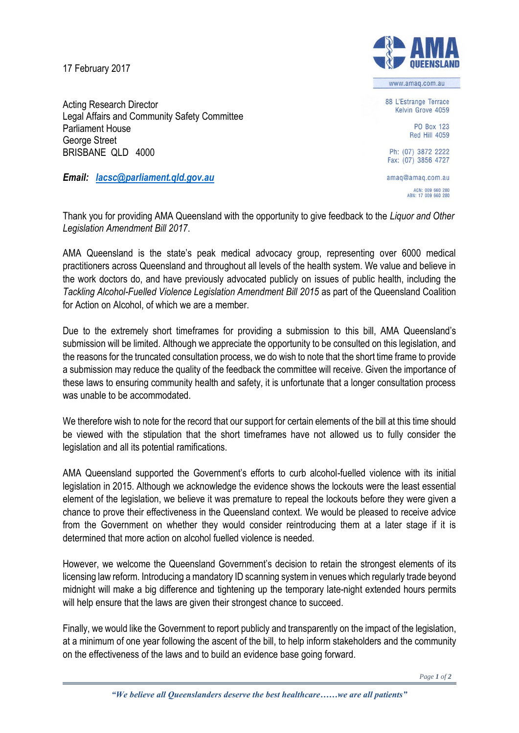17 February 2017

Acting Research Director



www.amag.com.au

88 L'Estrange Terrace Kelvin Grove 4059

> PO Box 123 Red Hill 4059

Ph: (07) 3872 2222 Fax: (07) 3856 4727

amaq@amaq.com.au ACN: 009 660 280<br>ABN: 17 009 660 280

Legal Affairs and Community Safety Committee Parliament House George Street BRISBANE QLD 4000

*Email: [lacsc@parliament.qld.gov.au](mailto:lacsc@parliament.qld.gov.au)*

Thank you for providing AMA Queensland with the opportunity to give feedback to the *Liquor and Other Legislation Amendment Bill 2017*.

AMA Queensland is the state's peak medical advocacy group, representing over 6000 medical practitioners across Queensland and throughout all levels of the health system. We value and believe in the work doctors do, and have previously advocated publicly on issues of public health, including the *Tackling Alcohol-Fuelled Violence Legislation Amendment Bill 2015* as part of the Queensland Coalition for Action on Alcohol, of which we are a member.

Due to the extremely short timeframes for providing a submission to this bill, AMA Queensland's submission will be limited. Although we appreciate the opportunity to be consulted on this legislation, and the reasons for the truncated consultation process, we do wish to note that the short time frame to provide a submission may reduce the quality of the feedback the committee will receive. Given the importance of these laws to ensuring community health and safety, it is unfortunate that a longer consultation process was unable to be accommodated.

We therefore wish to note for the record that our support for certain elements of the bill at this time should be viewed with the stipulation that the short timeframes have not allowed us to fully consider the legislation and all its potential ramifications.

AMA Queensland supported the Government's efforts to curb alcohol-fuelled violence with its initial legislation in 2015. Although we acknowledge the evidence shows the lockouts were the least essential element of the legislation, we believe it was premature to repeal the lockouts before they were given a chance to prove their effectiveness in the Queensland context. We would be pleased to receive advice from the Government on whether they would consider reintroducing them at a later stage if it is determined that more action on alcohol fuelled violence is needed.

However, we welcome the Queensland Government's decision to retain the strongest elements of its licensing law reform. Introducing a mandatory ID scanning systemin venues which regularly trade beyond midnight will make a big difference and tightening up the temporary late-night extended hours permits will help ensure that the laws are given their strongest chance to succeed.

Finally, we would like the Government to report publicly and transparently on the impact of the legislation, at a minimum of one year following the ascent of the bill, to help inform stakeholders and the community on the effectiveness of the laws and to build an evidence base going forward.